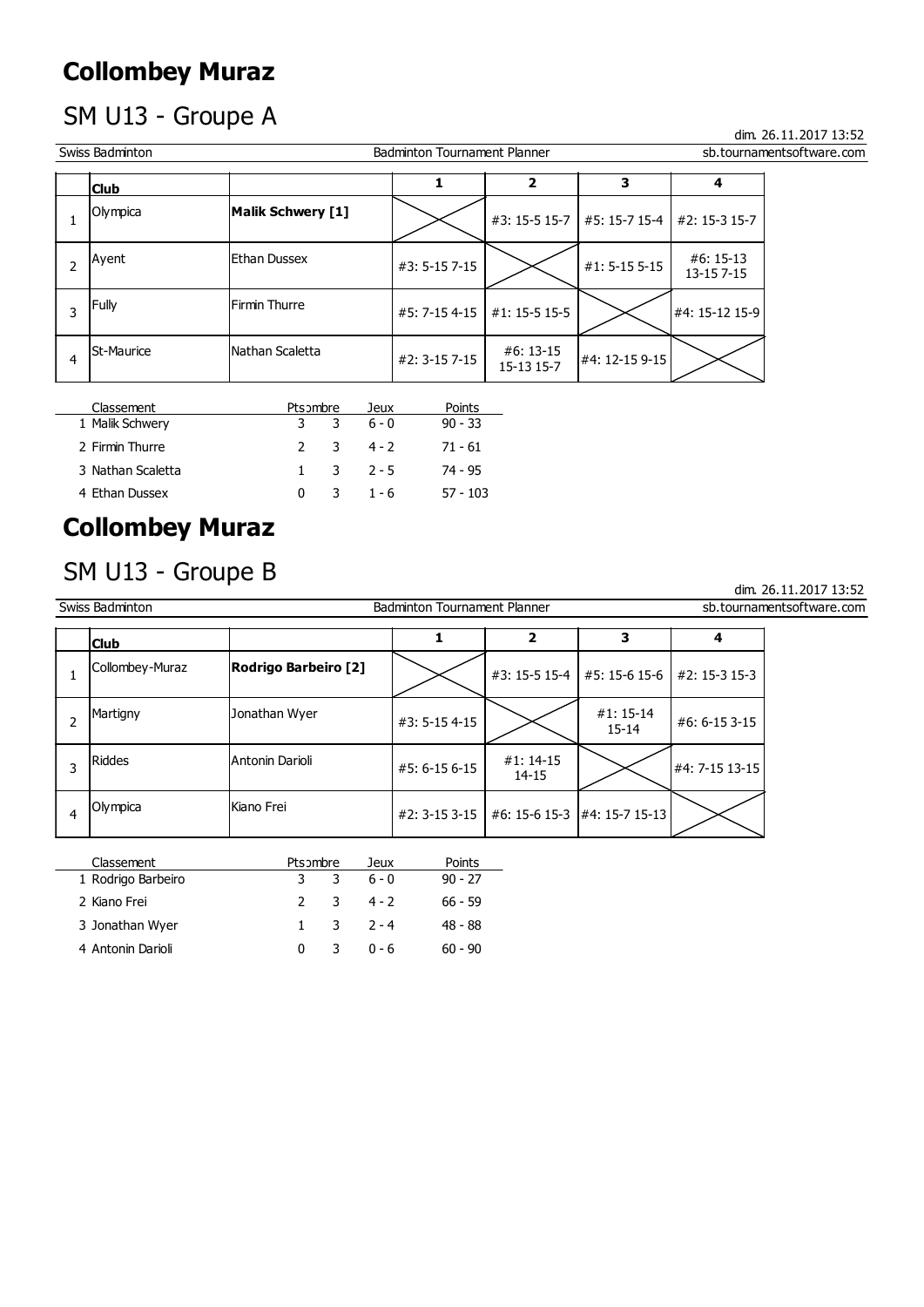# SM U13 - Groupe A

|                | <b>Collombey Muraz</b>        |                   |   |                        |                                     |                |               |                          |                           |
|----------------|-------------------------------|-------------------|---|------------------------|-------------------------------------|----------------|---------------|--------------------------|---------------------------|
|                | SM U13 - Groupe A             |                   |   |                        |                                     |                |               |                          | dim. 26.11.2017 13:52     |
|                | Swiss Badminton               |                   |   |                        | <b>Badminton Tournament Planner</b> |                |               |                          | sb.tournamentsoftware.com |
|                | <b>Club</b>                   |                   |   |                        | 1                                   | $\overline{2}$ | 3             | 4                        |                           |
| $\mathbf{1}$   | Olympica                      | Malik Schwery [1] |   |                        |                                     | #3: 15-5 15-7  | #5: 15-7 15-4 | #2: 15-3 15-7            |                           |
| $\overline{2}$ | Ayent                         | Ethan Dussex      |   |                        | #3: 5-15 7-15                       |                | #1: 5-15 5-15 | $#6:15-13$<br>13-15 7-15 |                           |
| 3              | Fully                         | Firmin Thurre     |   |                        | #5: 7-15 4-15                       | #1: 15-5 15-5  |               | #4: 15-12 15-9           |                           |
| $\overline{4}$ | <b>St-Maurice</b>             | Nathan Scaletta   |   | #2: 3-15 7-15          | #6: 13-15<br>15-13 15-7             | #4: 12-15 9-15 |               |                          |                           |
|                | Classement<br>1 Malik Schwery | Pts ombre<br>3    | 3 | <b>Jeux</b><br>$6 - 0$ | Points<br>$90 - 33$                 |                |               |                          |                           |
|                | 2 Firmin Thurre               | $\overline{2}$    | 3 | $4 - 2$                | $71 - 61$                           |                |               |                          |                           |
|                | 3 Nathan Scaletta             | $\mathbf{1}$      | 3 | $2 - 5$                | 74 - 95                             |                |               |                          |                           |
|                | 4 Ethan Dussex                | $\mathbf{0}$      | 3 | $1 - 6$                | $57 - 103$                          |                |               |                          |                           |
|                | <b>Collombey Muraz</b>        |                   |   |                        |                                     |                |               |                          |                           |
|                | SM U13 - Groupe B             |                   |   |                        |                                     |                |               |                          |                           |

| Classement        | Pts ombre |   | Jeux                  | Points     |
|-------------------|-----------|---|-----------------------|------------|
| 1 Malik Schwery   |           |   | $3 \t3 \t6 - 0$       | $90 - 33$  |
| 2 Firmin Thurre   |           |   | 2 3 4-2               | -71 - 61   |
| 3 Nathan Scaletta |           |   | $1 \quad 3 \quad 2-5$ | 74 - 95    |
| 4 Ethan Dussex    | $\Omega$  | 3 | $1 - 6$               | $57 - 103$ |

# Collombey Muraz

### SM U13 - Groupe B

|                | 3 Nathan Scaletta      | $\mathbf{1}$                | 3 | $2 - 5$       | 74 - 95                      |                       |                |                           |
|----------------|------------------------|-----------------------------|---|---------------|------------------------------|-----------------------|----------------|---------------------------|
|                | 4 Ethan Dussex         | $\mathbf 0$                 | 3 | $1 - 6$       | $57 - 103$                   |                       |                |                           |
|                | <b>Collombey Muraz</b> |                             |   |               |                              |                       |                |                           |
|                | SM U13 - Groupe B      |                             |   |               |                              |                       |                | dim. 26.11.2017 13:52     |
|                | Swiss Badminton        |                             |   |               | Badminton Tournament Planner |                       |                | sb.tournamentsoftware.com |
|                | <b>Club</b>            |                             |   | $\mathbf{1}$  | $\overline{2}$               | $\mathbf{3}$          | 4              |                           |
| $\mathbf{1}$   | Collombey-Muraz        | <b>Rodrigo Barbeiro [2]</b> |   |               | #3: 15-5 15-4                | #5: 15-6 15-6         | #2: 15-3 15-3  |                           |
| $\overline{2}$ | Martigny               | Jonathan Wyer               |   | #3: 5-15 4-15 |                              | #1:15-14<br>$15 - 14$ | #6: 6-15 3-15  |                           |
| 3              | <b>Riddes</b>          | Antonin Darioli             |   | #5: 6-15 6-15 | #1: 14-15<br>$14 - 15$       |                       | #4: 7-15 13-15 |                           |
| $\overline{4}$ | Olympica               | Kiano Frei                  |   |               | #2: 3-15 3-15                | #6: 15-6 15-3         | #4: 15-7 15-13 |                           |
|                | Classement             | Pts ombre                   |   | Jeux          | Points                       |                       |                |                           |
|                | 1 Rodrigo Barbeiro     | 3                           | 3 | $6 - 0$       | $90 - 27$                    |                       |                |                           |
|                | 2 Kiano Frei           | $\overline{2}$              | 3 | $4 - 2$       | $66 - 59$                    |                       |                |                           |
|                | 3 Jonathan Wyer        | $\mathbf{1}$                | 3 | $2 - 4$       | $48 - 88$                    |                       |                |                           |
|                | 4 Antonin Darioli      | $\mathbf 0$                 | 3 | $0 - 6$       | $60 - 90$                    |                       |                |                           |

| Classement         | Pts ombre |    | Jeux                    | Points    |
|--------------------|-----------|----|-------------------------|-----------|
| 1 Rodrigo Barbeiro | 3.        | 3  | 6 - 0                   | $90 - 27$ |
| 2 Kiano Frei       |           |    | 2 3 4-2                 | 66 - 59   |
| 3 Jonathan Wyer    |           |    | $1 \quad 3 \quad 2 - 4$ | 48 - 88   |
| 4 Antonin Darioli  |           | 3. | $0 - 6$                 | $60 - 90$ |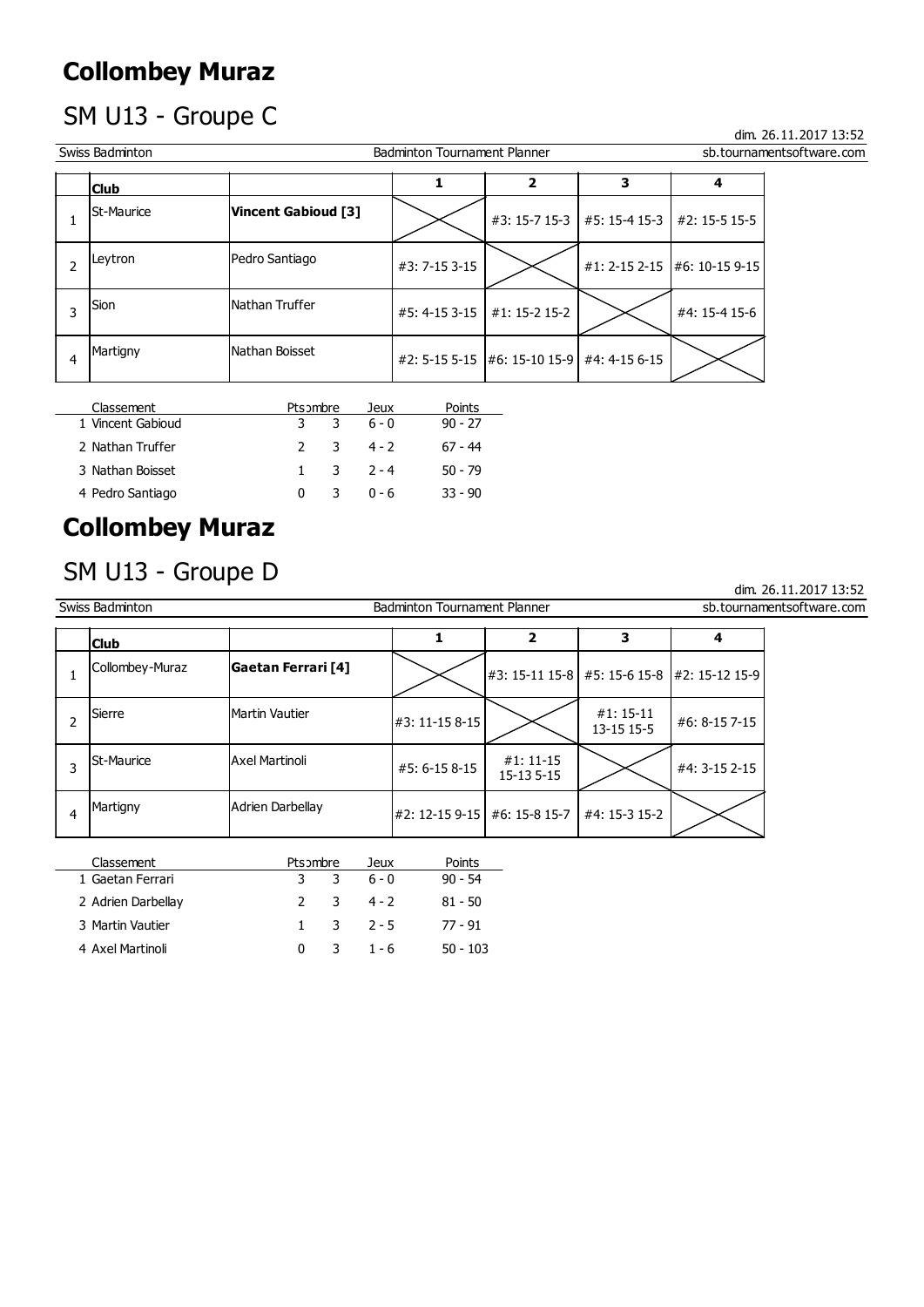# SM U13 - Groupe C

|                | <b>Collombey Muraz</b>          |                     |                |                 |                                            |               |               |                              |                           |
|----------------|---------------------------------|---------------------|----------------|-----------------|--------------------------------------------|---------------|---------------|------------------------------|---------------------------|
|                | SM U13 - Groupe C               |                     |                |                 |                                            |               |               |                              | dim. 26.11.2017 13:52     |
|                | Swiss Badminton                 |                     |                |                 | <b>Badminton Tournament Planner</b>        |               |               |                              | sb.tournamentsoftware.com |
|                | <b>Club</b>                     |                     |                | 1               | $\overline{2}$                             | 3             | 4             |                              |                           |
| $\mathbf{1}$   | <b>St-Maurice</b>               | Vincent Gabioud [3] |                |                 |                                            | #3: 15-7 15-3 | #5: 15-4 15-3 | #2: 15-5 15-5                |                           |
| $\overline{2}$ | Leytron                         | Pedro Santiago      |                |                 | #3: 7-15 3-15                              |               |               | #1: 2-15 2-15 #6: 10-15 9-15 |                           |
| 3              | Sion                            | Nathan Truffer      |                |                 | #5: 4-15 3-15                              | #1: 15-2 15-2 |               | #4: 15-4 15-6                |                           |
| $\overline{4}$ | Martigny                        | Nathan Boisset      |                |                 | #2: 5-15 5-15 #6: 15-10 15-9 #4: 4-15 6-15 |               |               |                              |                           |
|                | Classement<br>1 Vincent Gabioud | 3                   | Pts ombre<br>3 | Jeux<br>$6 - 0$ | Points<br>$90 - 27$                        |               |               |                              |                           |
|                | 2 Nathan Truffer                | $\overline{2}$      | 3              | $4 - 2$         | $67 - 44$                                  |               |               |                              |                           |
|                | 3 Nathan Boisset                | $\mathbf{1}$        | 3              | $2 - 4$         | $50 - 79$                                  |               |               |                              |                           |
|                | 4 Pedro Santiago                | $\mathbf{0}$        | 3              | $0 - 6$         | $33 - 90$                                  |               |               |                              |                           |
|                | <b>Collombey Muraz</b>          |                     |                |                 |                                            |               |               |                              |                           |
|                | SM U13 - Groupe D               |                     |                |                 |                                            |               |               |                              |                           |

| Classement        | Pts ombre |    | Jeux                    | Points    |
|-------------------|-----------|----|-------------------------|-----------|
| 1 Vincent Gabioud |           |    | 3 3 6-0                 | $90 - 27$ |
| 2 Nathan Truffer  |           |    | 2 3 4 - 2               | 67 - 44   |
| 3 Nathan Boisset  |           |    | $1 \quad 3 \quad 2 - 4$ | $50 - 79$ |
| 4 Pedro Santiago  | 0         | 3. | በ - 6                   | $33 - 90$ |

# Collombey Muraz

### SM U13 - Groupe D

|                | 3 Nathan Boisset       | $\mathbf{1}$              | 3                | $2 - 4$        | $50 - 79$                    |                           |                |               |                           |
|----------------|------------------------|---------------------------|------------------|----------------|------------------------------|---------------------------|----------------|---------------|---------------------------|
|                | 4 Pedro Santiago       | $\mathbf 0$               | 3                | $0 - 6$        | $33 - 90$                    |                           |                |               |                           |
|                | <b>Collombey Muraz</b> |                           |                  |                |                              |                           |                |               |                           |
|                | SM U13 - Groupe D      |                           |                  |                |                              |                           |                |               | dim. 26.11.2017 13:52     |
|                | Swiss Badminton        |                           |                  |                | Badminton Tournament Planner |                           |                |               | sb.tournamentsoftware.com |
|                | <b>Club</b>            |                           |                  | $\mathbf{1}$   | $\overline{\mathbf{2}}$      | $\mathbf{3}$              | 4              |               |                           |
| $\mathbf{1}$   | Collombey-Muraz        | <b>Gaetan Ferrari [4]</b> |                  |                | #3: 15-11 15-8 #5: 15-6 15-8 |                           | #2: 15-12 15-9 |               |                           |
| $\overline{2}$ | Sierre                 | Martin Vautier            |                  | #3: 11-15 8-15 |                              | $#1: 15-11$<br>13-15 15-5 | #6: 8-15 7-15  |               |                           |
| 3              | St-Maurice             | <b>Axel Martinoli</b>     |                  |                | #5: 6-15 8-15                | $#1: 11-15$<br>15-13 5-15 |                | #4: 3-15 2-15 |                           |
| $\overline{4}$ | Martigny               |                           | Adrien Darbellay |                | #2: 12-15 9-15               | #6: 15-8 15-7             | #4: 15-3 15-2  |               |                           |
|                | Classement             |                           | Pts ombre        | Jeux           | Points                       |                           |                |               |                           |
|                | 1 Gaetan Ferrari       | 3                         | 3                | $6 - 0$        | $90 - 54$                    |                           |                |               |                           |
|                | 2 Adrien Darbellay     | $\overline{2}$            | 3                | $4 - 2$        | $81 - 50$                    |                           |                |               |                           |
|                | 3 Martin Vautier       | $\mathbf{1}$              | 3                | $2 - 5$        | $77 - 91$                    |                           |                |               |                           |
|                | 4 Axel Martinoli       | $\mathbf 0$               | 3                | $1 - 6$        | $50 - 103$                   |                           |                |               |                           |

| Classement         | Pts ombre |   | Jeux                  | Points   |
|--------------------|-----------|---|-----------------------|----------|
| 1 Gaetan Ferrari   | 3.        | 3 | 6 - 0                 | 90 - 54  |
| 2 Adrien Darbellay |           |   | $2 \t3 \t4 - 2$       | 81 - 50  |
| 3 Martin Vautier   |           |   | $1 \quad 3 \quad 2-5$ | 77 - 91  |
| 4 Axel Martinoli   | 0         |   | $3 \t1 - 6$           | 50 - 103 |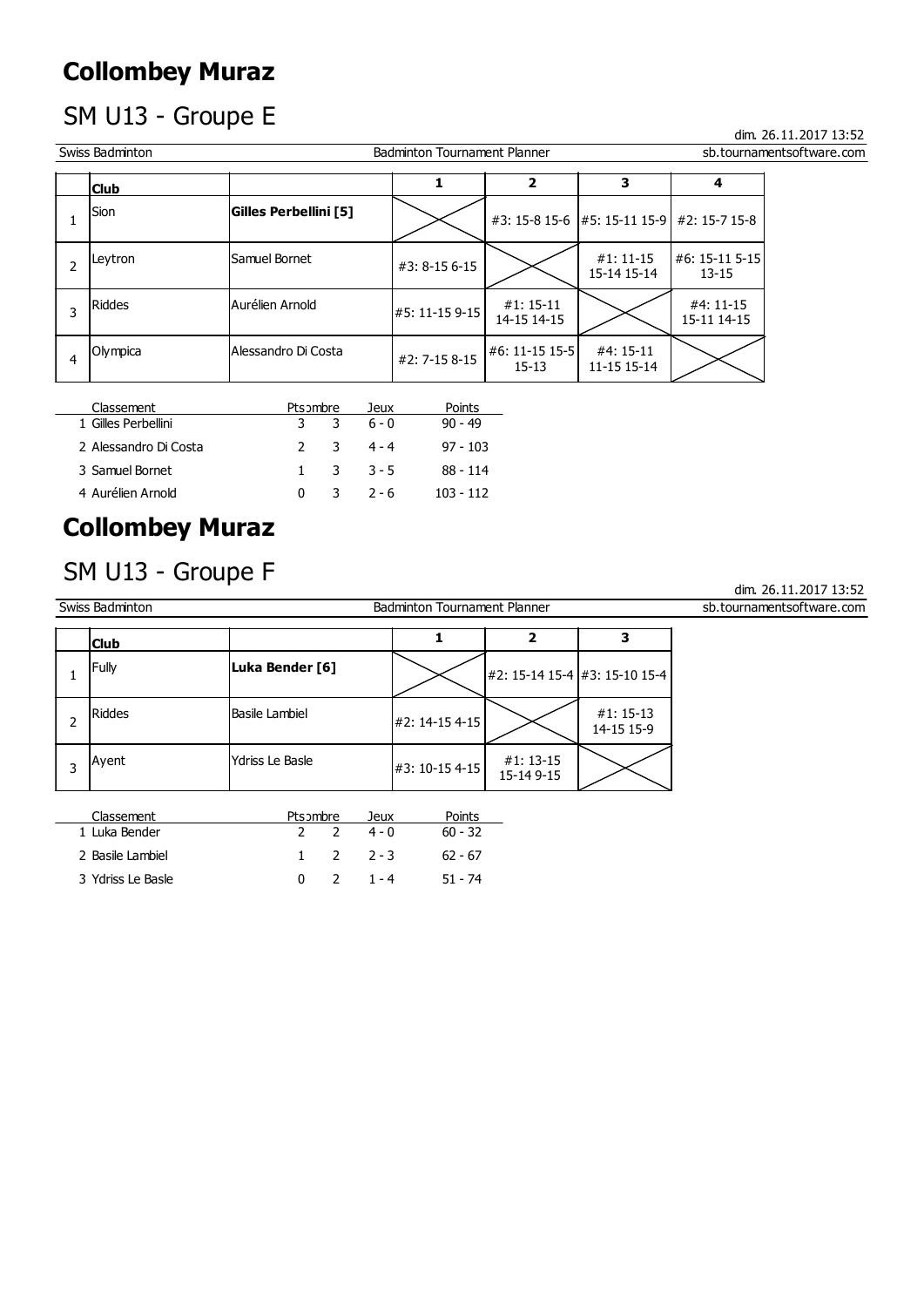# SM U13 - Groupe E

|                | <b>Collombey Muraz</b>            |                              |   |                 |                                     |                                |                           |                             |                           |
|----------------|-----------------------------------|------------------------------|---|-----------------|-------------------------------------|--------------------------------|---------------------------|-----------------------------|---------------------------|
|                | SM U13 - Groupe E                 |                              |   |                 |                                     |                                |                           |                             | dim. 26.11.2017 13:52     |
|                | Swiss Badminton                   |                              |   |                 | <b>Badminton Tournament Planner</b> |                                |                           |                             | sb.tournamentsoftware.com |
|                | <b>Club</b>                       |                              |   |                 | 1                                   | $\overline{\mathbf{2}}$        | 3                         | 4                           |                           |
| $\mathbf{1}$   | Sion                              | <b>Gilles Perbellini [5]</b> |   |                 |                                     | #3: 15-8 15-6   #5: 15-11 15-9 | #2: 15-7 15-8             |                             |                           |
| $\overline{2}$ | Leytron                           | Samuel Bornet                |   |                 | #3: 8-15 6-15                       |                                | $#1:11-15$<br>15-14 15-14 | #6: 15-11 5-15<br>$13 - 15$ |                           |
| 3              | Riddes                            | Aurélien Arnold              |   | #5: 11-15 9-15  | $#1: 15-11$<br>14-15 14-15          |                                | #4: 11-15<br>15-11 14-15  |                             |                           |
| $\overline{4}$ | Olympica                          | Alessandro Di Costa          |   | #2: 7-15 8-15   | #6: 11-15 15-5<br>$15 - 13$         | #4: 15-11<br>11-15 15-14       |                           |                             |                           |
|                | Classement<br>1 Gilles Perbellini | Pts ombre<br>3               | 3 | Jeux<br>$6 - 0$ | Points<br>$90 - 49$                 |                                |                           |                             |                           |
|                | 2 Alessandro Di Costa             | $\overline{2}$               | 3 | $4 - 4$         | $97 - 103$                          |                                |                           |                             |                           |
|                | 3 Samuel Bornet                   | $\mathbf{1}$                 | 3 | $3 - 5$         | $88 - 114$                          |                                |                           |                             |                           |
|                | 4 Aurélien Arnold                 | $\mathbf{0}$                 | 3 | $2 - 6$         | $103 - 112$                         |                                |                           |                             |                           |
|                | <b>Collombey Muraz</b>            |                              |   |                 |                                     |                                |                           |                             |                           |
|                | SM U13 - Groupe F                 |                              |   |                 |                                     |                                |                           |                             |                           |

| Classement            | Pts ombre    | Jeux                  | Points      |
|-----------------------|--------------|-----------------------|-------------|
| 1 Gilles Perbellini   | $\mathbf{3}$ | 3 6-0                 | $90 - 49$   |
| 2 Alessandro Di Costa |              | $2 \quad 3 \quad 4-4$ | $97 - 103$  |
| 3 Samuel Bornet       | $\mathbf{1}$ | 3 3-5                 | 88 - 114    |
| 4 Aurélien Arnold     | 0            | $7 - 6$               | $103 - 112$ |

# Collombey Muraz

SM U13 - Groupe F<br>Swiss Badminton dim. 26.11.2017 13:52<br>Badminton Tournament Planner Partner Sphere Subtournaments of tware.com Badminton Tournament Planner sb.tournamentsoftware.com  $\begin{array}{|c|c|c|c|c|}\n1 & \text{Fully} & \text{Luka Bender [6]} & & \\\hline\n1 & 42: 15-14 & 15-4 & 3: 15-10 & 15-4 & \\\hline\n2 & 15-14 & 15-4 & 3: 15-10 & 15-4 & \\\hline\n3 & 15-10 & 15-4 & 3: 15-10 & 15-4 & \\\hline\n4 & 15-4 & 3: 15-10 & 15-4 & \\\hline\n\end{array}$ Riddes Basile Lambiel  $\ket{#2: 14-15\,4-15}$   $\leftarrow$   $\ket{#1: 15-13}$ 2  $\left| \begin{array}{ccc} \text{p} & \text{p} & \text{p} \\ \text{p} & \text{p} & \text{p} \end{array} \right|$   $\neq$  2: 14-15 4-15  $\left| \begin{array}{cc} \text{p} & \text{p} & \text{p} \\ \text{p} & \text{p} & \text{p} \\ \text{p} & \text{p} & \text{p} \end{array} \right|$ Ayent  $\begin{array}{|l|}\n\hline\n\end{array}$  Ydriss Le Basle  $\begin{array}{|l|}\n\hline\n\end{array}$  #3: 10-15 4-15  $\begin{array}{|l|}\n\hline\n\end{array}$  #1: 13-15  $\begin{array}{|l|}\n\hline\n\end{array}$ 3 Ayent Ydriss Le Basle  $\begin{array}{|c|c|c|c|c|}\n\hline\n3 & 41:13-15 & \text{if } 15-14 & 9-15 \\
\hline\n\end{array}$ Classement **Ptsombre** Jeux Points 1 Gilles Perbellini a 3 3 6 - 0 90 - 49<br>
3 Smsandro DCocka 2 3 4 - 4 97 - 103<br>
3 Smsandro DCocka 2 3 4 - 4 97 - 103<br>
3 SmcWeien Arnold 0 3 2 - 6 103 - 112<br> **Ollombey Muraz**<br>
2 103 - 112<br>
2 103 - 112<br> **Cubs**<br>
8 Saddriniton<br> 2 Alessandro Di Costa<br>
2 3 4-4 97-103<br>
2 Assamelt Bornet 1 3 3-5 88-114<br>
4 Aurielien Arnold<br>
1 3 3-5 88-114<br>
2 - 6 103-112<br>
MUII 3 - Groupe F<br>
Badminton Tournament Pienner<br>
Badminton Tournament Pienner<br>
2 - 15-1415-4 #3:15 3 Simuel Bornet<br>
1 - 3 - 3 - 2 - 6 - 103 - 112<br>
14 Aurélien Arnold<br>
1 - 2 - 3 - 3 - 2 - 103 - 112<br>
MUI3 - Groupe F<br>
Sistemann<br>
Fruly<br>
Riodes<br>
1 - 2 - 3 - 10-15 4-15<br>
Ayent<br>
Notes Le Basle Lambiel<br>
2 - 2 - 10-15 4-15<br>
2 - 6  $\begin{array}{|c|c|c|c|c|c|}\n\hline\n\text{Club} & & & 1 & 2 & 3 \\
\hline\n\end{array}$ 

| Classement        | Pts >mbre | Jeux     | Points    |
|-------------------|-----------|----------|-----------|
| 1 Luka Bender     |           | $4 - 0$  | $60 - 32$ |
| 2 Basile Lambiel  |           | $2, 2-3$ | $62 - 67$ |
| 3 Ydriss Le Basle |           | - 1 - 4  | $51 - 74$ |